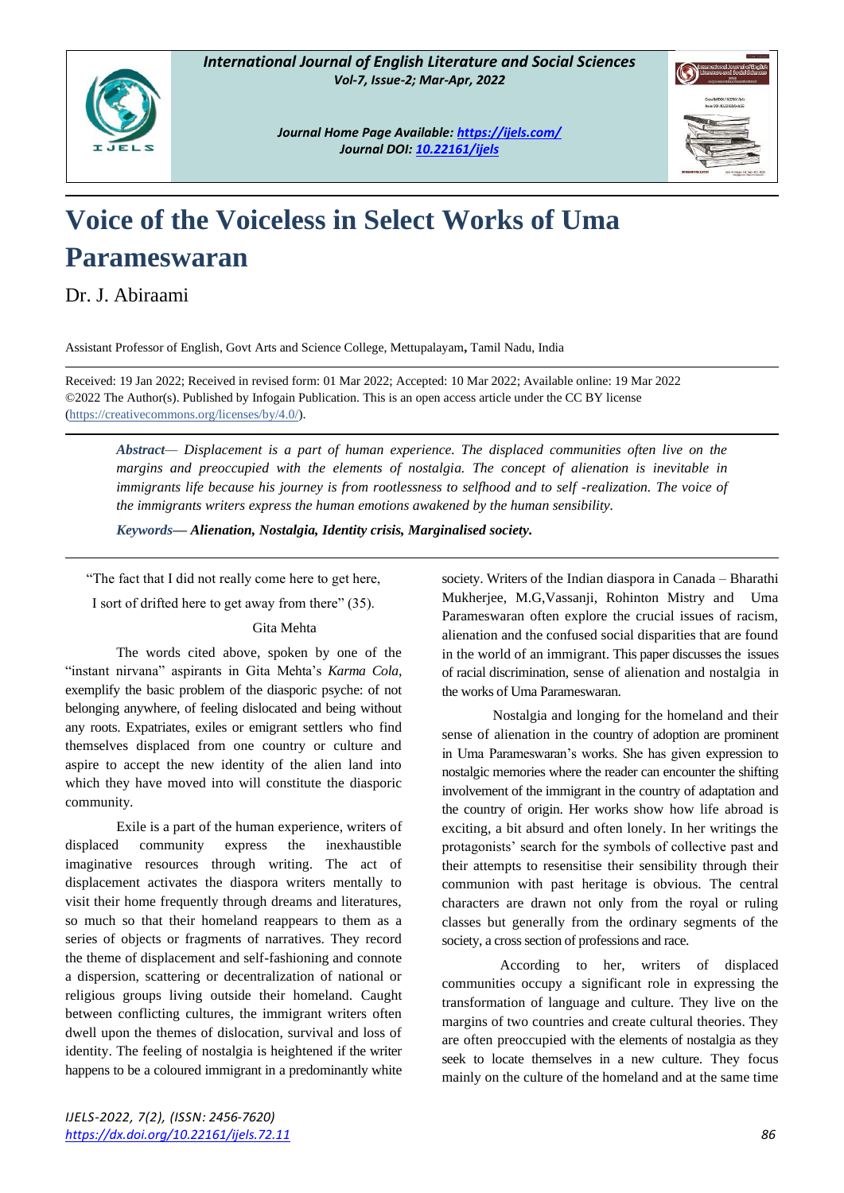

*Journal Home Page Available[: https://ijels.com/](https://ijels.com/) Journal DOI: 10.22161/ijels*



## **Voice of the Voiceless in Select Works of Uma Parameswaran**

Dr. J. Abiraami

Assistant Professor of English, Govt Arts and Science College, Mettupalayam**,** Tamil Nadu, India

Received: 19 Jan 2022; Received in revised form: 01 Mar 2022; Accepted: 10 Mar 2022; Available online: 19 Mar 2022 ©2022 The Author(s). Published by Infogain Publication. This is an open access article under the CC BY license [\(https://creativecommons.org/licenses/by/4.0/\)](https://creativecommons.org/licenses/by/4.0/).

*Abstract— Displacement is a part of human experience. The displaced communities often live on the margins and preoccupied with the elements of nostalgia. The concept of alienation is inevitable in immigrants life because his journey is from rootlessness to selfhood and to self -realization. The voice of the immigrants writers express the human emotions awakened by the human sensibility.*

*Keywords— Alienation, Nostalgia, Identity crisis, Marginalised society.*

"The fact that I did not really come here to get here,

I sort of drifted here to get away from there" (35).

## Gita Mehta

The words cited above, spoken by one of the "instant nirvana" aspirants in Gita Mehta's *Karma Cola,* exemplify the basic problem of the diasporic psyche: of not belonging anywhere, of feeling dislocated and being without any roots. Expatriates, exiles or emigrant settlers who find themselves displaced from one country or culture and aspire to accept the new identity of the alien land into which they have moved into will constitute the diasporic community.

Exile is a part of the human experience, writers of displaced community express the inexhaustible imaginative resources through writing. The act of displacement activates the diaspora writers mentally to visit their home frequently through dreams and literatures, so much so that their homeland reappears to them as a series of objects or fragments of narratives. They record the theme of displacement and self-fashioning and connote a dispersion, scattering or decentralization of national or religious groups living outside their homeland. Caught between conflicting cultures, the immigrant writers often dwell upon the themes of dislocation, survival and loss of identity. The feeling of nostalgia is heightened if the writer happens to be a coloured immigrant in a predominantly white society. Writers of the Indian diaspora in Canada – Bharathi Mukherjee, M.G,Vassanji, Rohinton Mistry and Uma Parameswaran often explore the crucial issues of racism, alienation and the confused social disparities that are found in the world of an immigrant. This paper discusses the issues of racial discrimination, sense of alienation and nostalgia in the works of Uma Parameswaran.

Nostalgia and longing for the homeland and their sense of alienation in the country of adoption are prominent in Uma Parameswaran's works. She has given expression to nostalgic memories where the reader can encounter the shifting involvement of the immigrant in the country of adaptation and the country of origin. Her works show how life abroad is exciting, a bit absurd and often lonely. In her writings the protagonists' search for the symbols of collective past and their attempts to resensitise their sensibility through their communion with past heritage is obvious. The central characters are drawn not only from the royal or ruling classes but generally from the ordinary segments of the society, a cross section of professions and race.

 According to her, writers of displaced communities occupy a significant role in expressing the transformation of language and culture. They live on the margins of two countries and create cultural theories. They are often preoccupied with the elements of nostalgia as they seek to locate themselves in a new culture. They focus mainly on the culture of the homeland and at the same time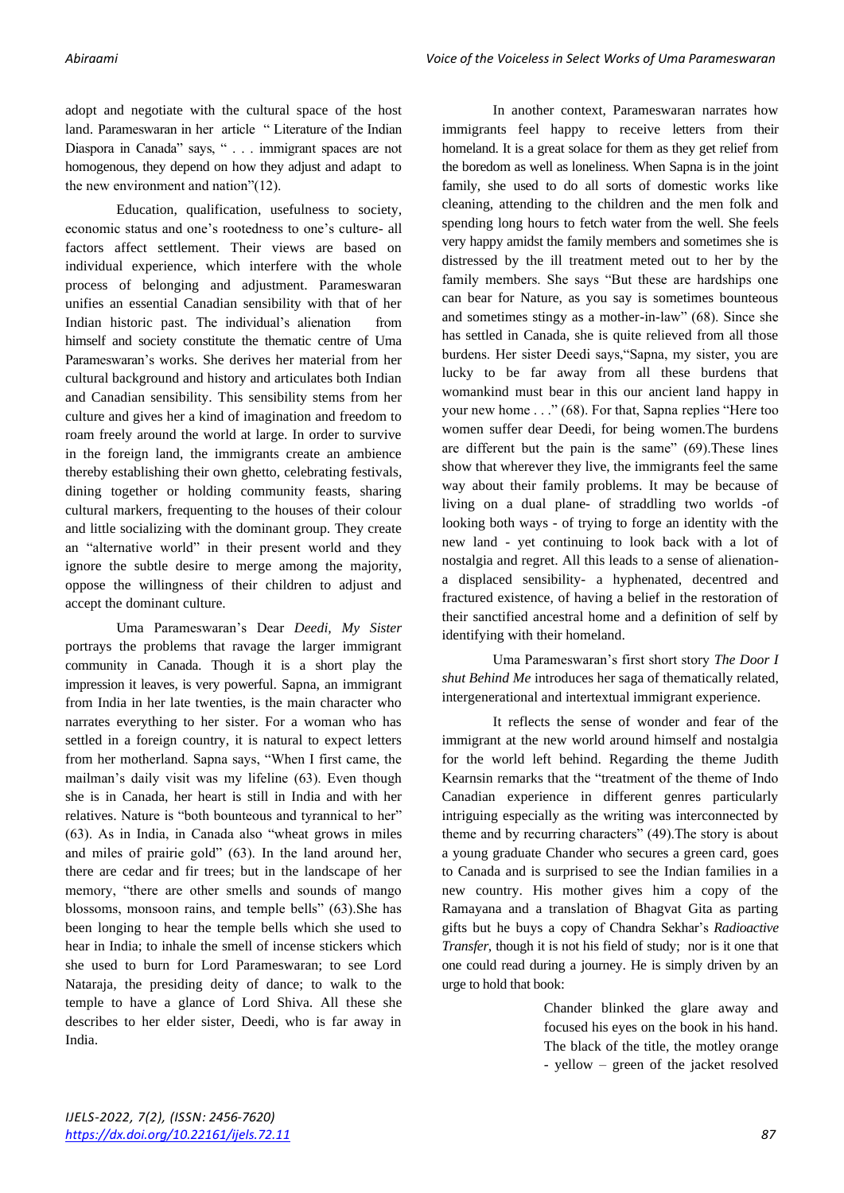adopt and negotiate with the cultural space of the host land. Parameswaran in her article " Literature of the Indian Diaspora in Canada" says, " . . . immigrant spaces are not homogenous, they depend on how they adjust and adapt to the new environment and nation"(12).

Education, qualification, usefulness to society, economic status and one's rootedness to one's culture- all factors affect settlement. Their views are based on individual experience, which interfere with the whole process of belonging and adjustment. Parameswaran unifies an essential Canadian sensibility with that of her Indian historic past. The individual's alienation from himself and society constitute the thematic centre of Uma Parameswaran's works. She derives her material from her cultural background and history and articulates both Indian and Canadian sensibility. This sensibility stems from her culture and gives her a kind of imagination and freedom to roam freely around the world at large. In order to survive in the foreign land, the immigrants create an ambience thereby establishing their own ghetto, celebrating festivals, dining together or holding community feasts, sharing cultural markers, frequenting to the houses of their colour and little socializing with the dominant group. They create an "alternative world" in their present world and they ignore the subtle desire to merge among the majority, oppose the willingness of their children to adjust and accept the dominant culture.

Uma Parameswaran's Dear *Deedi, My Sister*  portrays the problems that ravage the larger immigrant community in Canada. Though it is a short play the impression it leaves, is very powerful. Sapna, an immigrant from India in her late twenties, is the main character who narrates everything to her sister. For a woman who has settled in a foreign country, it is natural to expect letters from her motherland. Sapna says, "When I first came, the mailman's daily visit was my lifeline (63). Even though she is in Canada, her heart is still in India and with her relatives. Nature is "both bounteous and tyrannical to her" (63). As in India, in Canada also "wheat grows in miles and miles of prairie gold" (63). In the land around her, there are cedar and fir trees; but in the landscape of her memory, "there are other smells and sounds of mango blossoms, monsoon rains, and temple bells" (63).She has been longing to hear the temple bells which she used to hear in India; to inhale the smell of incense stickers which she used to burn for Lord Parameswaran; to see Lord Nataraja, the presiding deity of dance; to walk to the temple to have a glance of Lord Shiva. All these she describes to her elder sister, Deedi, who is far away in India.

In another context, Parameswaran narrates how immigrants feel happy to receive letters from their homeland. It is a great solace for them as they get relief from the boredom as well as loneliness. When Sapna is in the joint family, she used to do all sorts of domestic works like cleaning, attending to the children and the men folk and spending long hours to fetch water from the well. She feels very happy amidst the family members and sometimes she is distressed by the ill treatment meted out to her by the family members. She says "But these are hardships one can bear for Nature, as you say is sometimes bounteous and sometimes stingy as a mother-in-law" (68). Since she has settled in Canada, she is quite relieved from all those burdens. Her sister Deedi says,"Sapna, my sister, you are lucky to be far away from all these burdens that womankind must bear in this our ancient land happy in your new home . . ." (68). For that, Sapna replies "Here too women suffer dear Deedi, for being women.The burdens are different but the pain is the same" (69).These lines show that wherever they live, the immigrants feel the same way about their family problems. It may be because of living on a dual plane- of straddling two worlds -of looking both ways - of trying to forge an identity with the new land - yet continuing to look back with a lot of nostalgia and regret. All this leads to a sense of alienationa displaced sensibility- a hyphenated, decentred and fractured existence, of having a belief in the restoration of their sanctified ancestral home and a definition of self by identifying with their homeland.

Uma Parameswaran's first short story *The Door I shut Behind Me* introduces her saga of thematically related, intergenerational and intertextual immigrant experience.

It reflects the sense of wonder and fear of the immigrant at the new world around himself and nostalgia for the world left behind. Regarding the theme Judith Kearnsin remarks that the "treatment of the theme of Indo Canadian experience in different genres particularly intriguing especially as the writing was interconnected by theme and by recurring characters" (49).The story is about a young graduate Chander who secures a green card, goes to Canada and is surprised to see the Indian families in a new country. His mother gives him a copy of the Ramayana and a translation of Bhagvat Gita as parting gifts but he buys a copy of Chandra Sekhar's *Radioactive Transfer*, though it is not his field of study; nor is it one that one could read during a journey. He is simply driven by an urge to hold that book:

> Chander blinked the glare away and focused his eyes on the book in his hand. The black of the title, the motley orange - yellow – green of the jacket resolved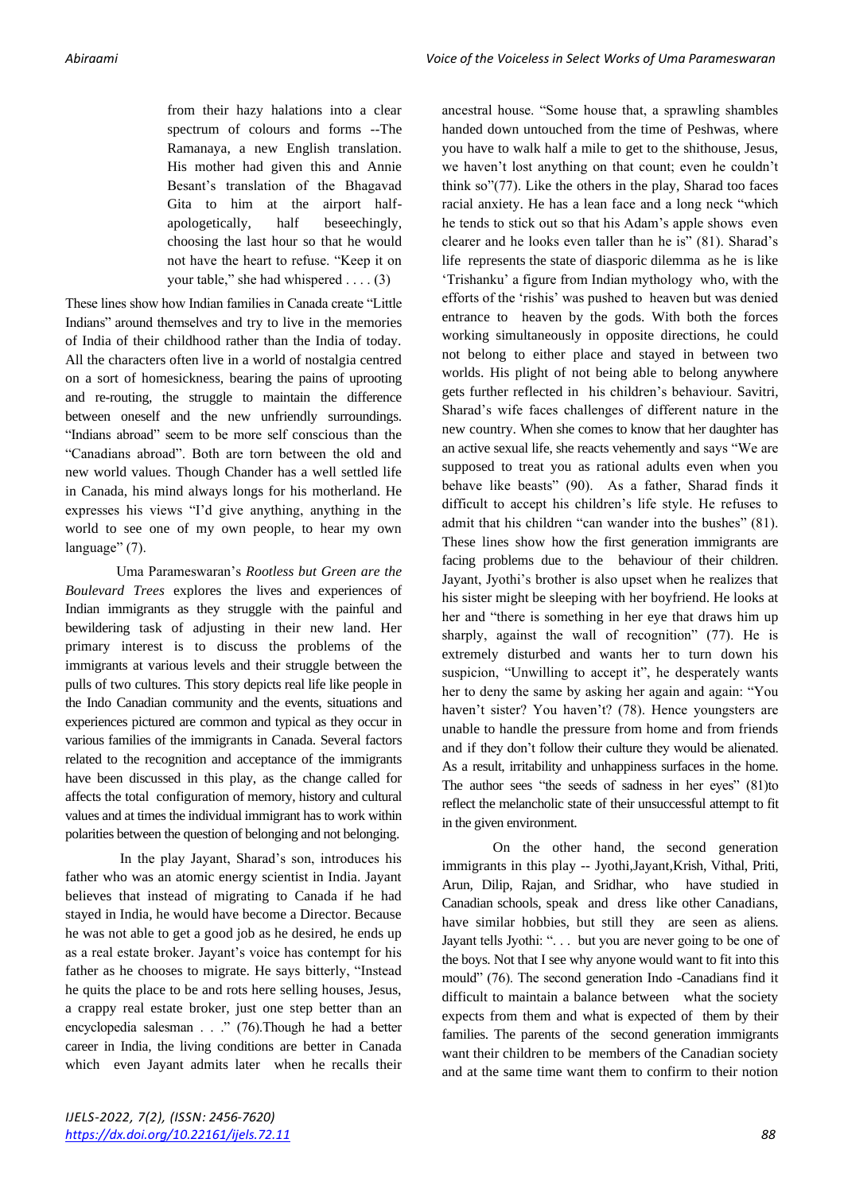from their hazy halations into a clear spectrum of colours and forms --The Ramanaya, a new English translation. His mother had given this and Annie Besant's translation of the Bhagavad Gita to him at the airport halfapologetically, half beseechingly, choosing the last hour so that he would not have the heart to refuse. "Keep it on your table," she had whispered . . . . (3)

These lines show how Indian families in Canada create "Little Indians" around themselves and try to live in the memories of India of their childhood rather than the India of today. All the characters often live in a world of nostalgia centred on a sort of homesickness, bearing the pains of uprooting and re-routing, the struggle to maintain the difference between oneself and the new unfriendly surroundings. "Indians abroad" seem to be more self conscious than the "Canadians abroad". Both are torn between the old and new world values. Though Chander has a well settled life in Canada, his mind always longs for his motherland. He expresses his views "I'd give anything, anything in the world to see one of my own people, to hear my own language" (7).

Uma Parameswaran's *Rootless but Green are the Boulevard Trees* explores the lives and experiences of Indian immigrants as they struggle with the painful and bewildering task of adjusting in their new land. Her primary interest is to discuss the problems of the immigrants at various levels and their struggle between the pulls of two cultures. This story depicts real life like people in the Indo Canadian community and the events, situations and experiences pictured are common and typical as they occur in various families of the immigrants in Canada. Several factors related to the recognition and acceptance of the immigrants have been discussed in this play, as the change called for affects the total configuration of memory, history and cultural values and at times the individual immigrant has to work within polarities between the question of belonging and not belonging.

In the play Jayant, Sharad's son, introduces his father who was an atomic energy scientist in India. Jayant believes that instead of migrating to Canada if he had stayed in India, he would have become a Director. Because he was not able to get a good job as he desired, he ends up as a real estate broker. Jayant's voice has contempt for his father as he chooses to migrate. He says bitterly, "Instead he quits the place to be and rots here selling houses, Jesus, a crappy real estate broker, just one step better than an encyclopedia salesman . . ." (76).Though he had a better career in India, the living conditions are better in Canada which even Jayant admits later when he recalls their ancestral house. "Some house that, a sprawling shambles handed down untouched from the time of Peshwas, where you have to walk half a mile to get to the shithouse, Jesus, we haven't lost anything on that count; even he couldn't think so"(77). Like the others in the play, Sharad too faces racial anxiety. He has a lean face and a long neck "which he tends to stick out so that his Adam's apple shows even clearer and he looks even taller than he is" (81). Sharad's life represents the state of diasporic dilemma as he is like 'Trishanku' a figure from Indian mythology who, with the efforts of the 'rishis' was pushed to heaven but was denied entrance to heaven by the gods. With both the forces working simultaneously in opposite directions, he could not belong to either place and stayed in between two worlds. His plight of not being able to belong anywhere gets further reflected in his children's behaviour. Savitri, Sharad's wife faces challenges of different nature in the new country. When she comes to know that her daughter has an active sexual life, she reacts vehemently and says "We are supposed to treat you as rational adults even when you behave like beasts" (90). As a father, Sharad finds it difficult to accept his children's life style. He refuses to admit that his children "can wander into the bushes" (81). These lines show how the first generation immigrants are facing problems due to the behaviour of their children. Jayant, Jyothi's brother is also upset when he realizes that his sister might be sleeping with her boyfriend. He looks at her and "there is something in her eye that draws him up sharply, against the wall of recognition" (77). He is extremely disturbed and wants her to turn down his suspicion, "Unwilling to accept it", he desperately wants her to deny the same by asking her again and again: "You haven't sister? You haven't? (78). Hence youngsters are unable to handle the pressure from home and from friends and if they don't follow their culture they would be alienated. As a result, irritability and unhappiness surfaces in the home. The author sees "the seeds of sadness in her eyes" (81)to reflect the melancholic state of their unsuccessful attempt to fit in the given environment.

On the other hand, the second generation immigrants in this play -- Jyothi,Jayant,Krish, Vithal, Priti, Arun, Dilip, Rajan, and Sridhar, who have studied in Canadian schools, speak and dress like other Canadians, have similar hobbies, but still they are seen as aliens. Jayant tells Jyothi: "... but you are never going to be one of the boys. Not that I see why anyone would want to fit into this mould" (76). The second generation Indo -Canadians find it difficult to maintain a balance between what the society expects from them and what is expected of them by their families. The parents of the second generation immigrants want their children to be members of the Canadian society and at the same time want them to confirm to their notion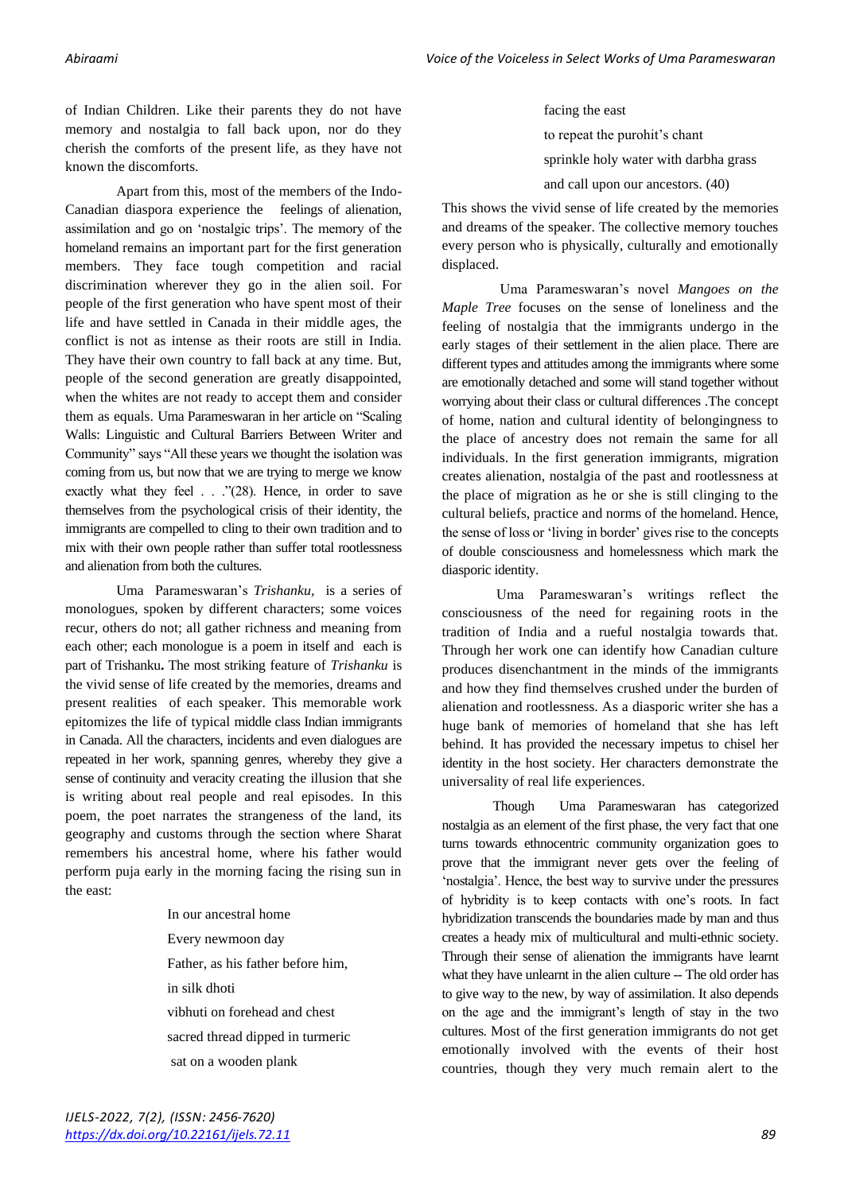of Indian Children. Like their parents they do not have memory and nostalgia to fall back upon, nor do they cherish the comforts of the present life, as they have not known the discomforts.

Apart from this, most of the members of the Indo-Canadian diaspora experience the feelings of alienation, assimilation and go on 'nostalgic trips'. The memory of the homeland remains an important part for the first generation members. They face tough competition and racial discrimination wherever they go in the alien soil. For people of the first generation who have spent most of their life and have settled in Canada in their middle ages, the conflict is not as intense as their roots are still in India. They have their own country to fall back at any time. But, people of the second generation are greatly disappointed, when the whites are not ready to accept them and consider them as equals. Uma Parameswaran in her article on "Scaling Walls: Linguistic and Cultural Barriers Between Writer and Community" says "All these years we thought the isolation was coming from us, but now that we are trying to merge we know exactly what they feel . . . ."(28). Hence, in order to save themselves from the psychological crisis of their identity, the immigrants are compelled to cling to their own tradition and to mix with their own people rather than suffer total rootlessness and alienation from both the cultures.

Uma Parameswaran's *Trishanku,* is a series of monologues, spoken by different characters; some voices recur, others do not; all gather richness and meaning from each other; each monologue is a poem in itself and each is part of Trishanku**.** The most striking feature of *Trishanku* is the vivid sense of life created by the memories, dreams and present realities of each speaker. This memorable work epitomizes the life of typical middle class Indian immigrants in Canada. All the characters, incidents and even dialogues are repeated in her work, spanning genres, whereby they give a sense of continuity and veracity creating the illusion that she is writing about real people and real episodes. In this poem, the poet narrates the strangeness of the land, its geography and customs through the section where Sharat remembers his ancestral home, where his father would perform puja early in the morning facing the rising sun in the east:

> In our ancestral home Every newmoon day Father, as his father before him, in silk dhoti vibhuti on forehead and chest sacred thread dipped in turmeric sat on a wooden plank

facing the east to repeat the purohit's chant sprinkle holy water with darbha grass and call upon our ancestors. (40)

This shows the vivid sense of life created by the memories and dreams of the speaker. The collective memory touches every person who is physically, culturally and emotionally displaced.

Uma Parameswaran's novel *Mangoes on the Maple Tree* focuses on the sense of loneliness and the feeling of nostalgia that the immigrants undergo in the early stages of their settlement in the alien place. There are different types and attitudes among the immigrants where some are emotionally detached and some will stand together without worrying about their class or cultural differences .The concept of home, nation and cultural identity of belongingness to the place of ancestry does not remain the same for all individuals. In the first generation immigrants, migration creates alienation, nostalgia of the past and rootlessness at the place of migration as he or she is still clinging to the cultural beliefs, practice and norms of the homeland. Hence, the sense of loss or 'living in border' gives rise to the concepts of double consciousness and homelessness which mark the diasporic identity.

Uma Parameswaran's writings reflect the consciousness of the need for regaining roots in the tradition of India and a rueful nostalgia towards that. Through her work one can identify how Canadian culture produces disenchantment in the minds of the immigrants and how they find themselves crushed under the burden of alienation and rootlessness. As a diasporic writer she has a huge bank of memories of homeland that she has left behind. It has provided the necessary impetus to chisel her identity in the host society. Her characters demonstrate the universality of real life experiences.

Though Uma Parameswaran has categorized nostalgia as an element of the first phase, the very fact that one turns towards ethnocentric community organization goes to prove that the immigrant never gets over the feeling of 'nostalgia'. Hence, the best way to survive under the pressures of hybridity is to keep contacts with one's roots. In fact hybridization transcends the boundaries made by man and thus creates a heady mix of multicultural and multi-ethnic society. Through their sense of alienation the immigrants have learnt what they have unlearnt in the alien culture -- The old order has to give way to the new, by way of assimilation. It also depends on the age and the immigrant's length of stay in the two cultures. Most of the first generation immigrants do not get emotionally involved with the events of their host countries, though they very much remain alert to the